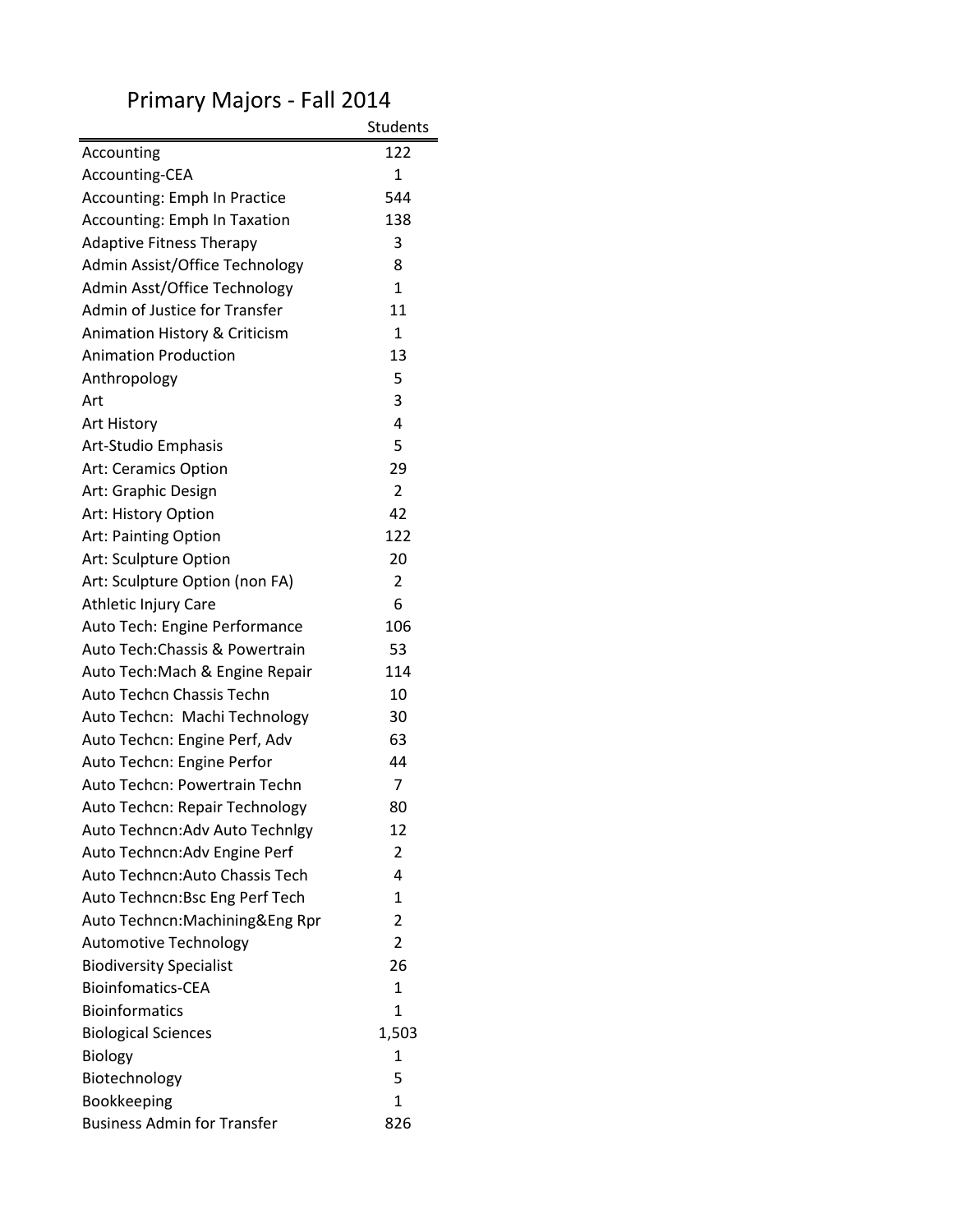|                                     | <b>Students</b> |
|-------------------------------------|-----------------|
| Accounting                          | 122             |
| Accounting-CEA                      | $\mathbf{1}$    |
| Accounting: Emph In Practice        | 544             |
| <b>Accounting: Emph In Taxation</b> | 138             |
| <b>Adaptive Fitness Therapy</b>     | 3               |
| Admin Assist/Office Technology      | 8               |
| Admin Asst/Office Technology        | $\mathbf{1}$    |
| Admin of Justice for Transfer       | 11              |
| Animation History & Criticism       | $\mathbf{1}$    |
| <b>Animation Production</b>         | 13              |
| Anthropology                        | 5               |
| Art                                 | 3               |
| Art History                         | 4               |
| Art-Studio Emphasis                 | 5               |
| <b>Art: Ceramics Option</b>         | 29              |
| Art: Graphic Design                 | $\overline{2}$  |
| Art: History Option                 | 42              |
| Art: Painting Option                | 122             |
| Art: Sculpture Option               | 20              |
| Art: Sculpture Option (non FA)      | 2               |
| Athletic Injury Care                | 6               |
| Auto Tech: Engine Performance       | 106             |
| Auto Tech: Chassis & Powertrain     | 53              |
| Auto Tech: Mach & Engine Repair     | 114             |
| Auto Techcn Chassis Techn           | 10              |
| Auto Techcn: Machi Technology       | 30              |
| Auto Techcn: Engine Perf, Adv       | 63              |
| Auto Techcn: Engine Perfor          | 44              |
| Auto Techcn: Powertrain Techn       | 7               |
| Auto Techcn: Repair Technology      | 80              |
| Auto Techncn: Adv Auto Technlgy     | 12              |
| Auto Techncn: Adv Engine Perf       | 2               |
| Auto Techncn: Auto Chassis Tech     | 4               |
| Auto Techncn: Bsc Eng Perf Tech     | 1               |
| Auto Techncn:Machining&Eng Rpr      | $\overline{2}$  |
| <b>Automotive Technology</b>        | 2               |
| <b>Biodiversity Specialist</b>      | 26              |
| <b>Bioinfomatics-CEA</b>            | $\mathbf{1}$    |
| <b>Bioinformatics</b>               | $\mathbf{1}$    |
| <b>Biological Sciences</b>          | 1,503           |
| Biology                             | 1               |
| Biotechnology                       | 5               |
| Bookkeeping                         | 1               |
| <b>Business Admin for Transfer</b>  | 826             |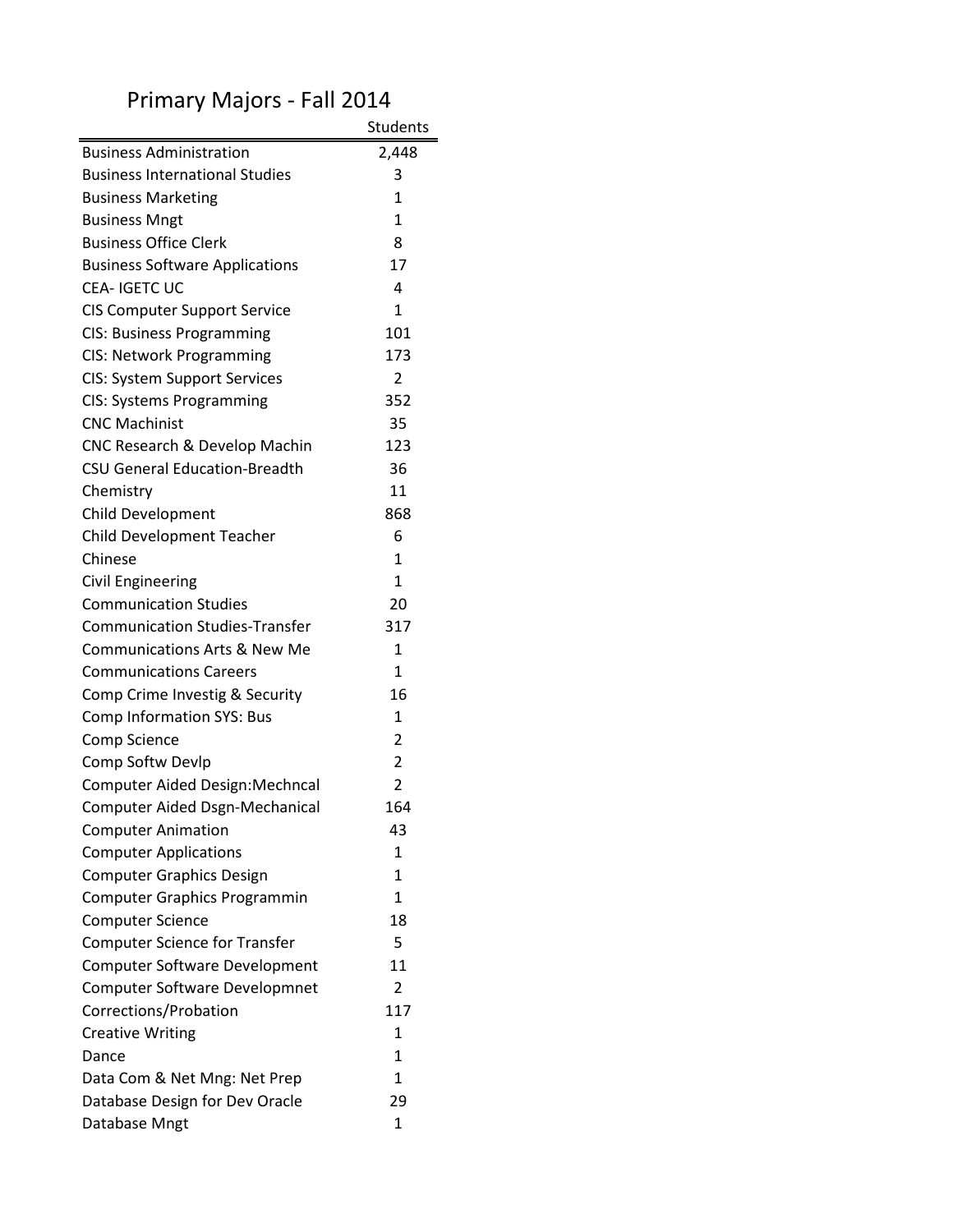|                                         | Students       |
|-----------------------------------------|----------------|
| <b>Business Administration</b>          | 2,448          |
| <b>Business International Studies</b>   | 3              |
| <b>Business Marketing</b>               | $\mathbf{1}$   |
| <b>Business Mngt</b>                    | 1              |
| <b>Business Office Clerk</b>            | 8              |
| <b>Business Software Applications</b>   | 17             |
| <b>CEA-IGETCUC</b>                      | 4              |
| <b>CIS Computer Support Service</b>     | $\mathbf{1}$   |
| <b>CIS: Business Programming</b>        | 101            |
| CIS: Network Programming                | 173            |
| <b>CIS: System Support Services</b>     | $\overline{2}$ |
| CIS: Systems Programming                | 352            |
| <b>CNC Machinist</b>                    | 35             |
| CNC Research & Develop Machin           | 123            |
| <b>CSU General Education-Breadth</b>    | 36             |
| Chemistry                               | 11             |
| Child Development                       | 868            |
| Child Development Teacher               | 6              |
| Chinese                                 | $\mathbf{1}$   |
| <b>Civil Engineering</b>                | 1              |
| <b>Communication Studies</b>            | 20             |
| <b>Communication Studies-Transfer</b>   | 317            |
| <b>Communications Arts &amp; New Me</b> | $\mathbf{1}$   |
| <b>Communications Careers</b>           | 1              |
| Comp Crime Investig & Security          | 16             |
| <b>Comp Information SYS: Bus</b>        | $\mathbf{1}$   |
| Comp Science                            | $\overline{2}$ |
| Comp Softw Devlp                        | $\overline{2}$ |
| Computer Aided Design: Mechncal         | $\overline{2}$ |
| <b>Computer Aided Dsgn-Mechanical</b>   | 164            |
| <b>Computer Animation</b>               | 43             |
| <b>Computer Applications</b>            | $\mathbf{1}$   |
| <b>Computer Graphics Design</b>         | 1              |
| <b>Computer Graphics Programmin</b>     | $\mathbf{1}$   |
| <b>Computer Science</b>                 | 18             |
| <b>Computer Science for Transfer</b>    | 5              |
| Computer Software Development           | 11             |
| <b>Computer Software Developmnet</b>    | 2              |
| Corrections/Probation                   | 117            |
| <b>Creative Writing</b>                 | $\mathbf{1}$   |
| Dance                                   | 1              |
| Data Com & Net Mng: Net Prep            | 1              |
| Database Design for Dev Oracle          | 29             |
| Database Mngt                           | 1              |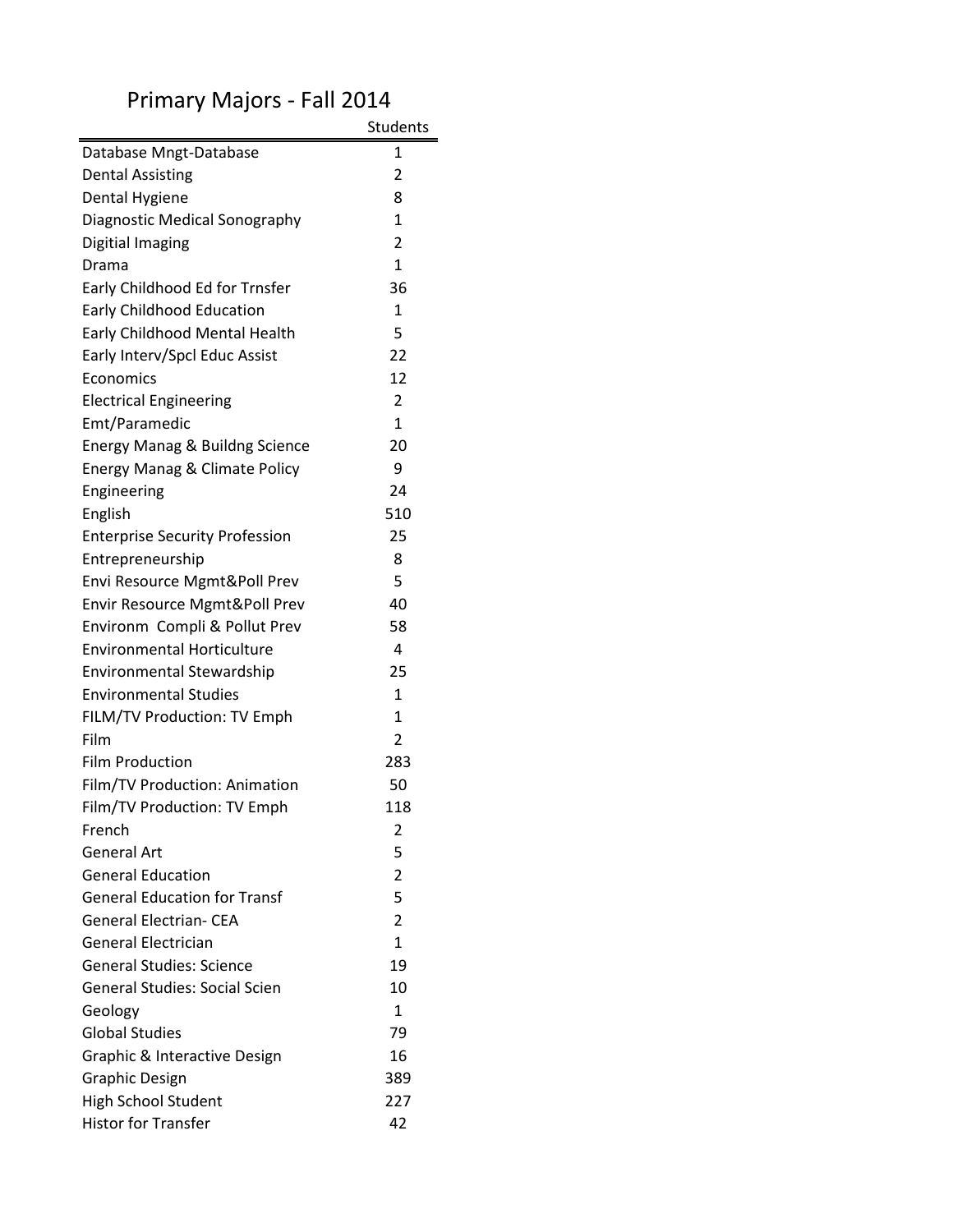|                                           | <b>Students</b> |
|-------------------------------------------|-----------------|
| Database Mngt-Database                    | 1               |
| <b>Dental Assisting</b>                   | 2               |
| Dental Hygiene                            | 8               |
| Diagnostic Medical Sonography             | $\mathbf{1}$    |
| Digitial Imaging                          | 2               |
| Drama                                     | $\mathbf{1}$    |
| Early Childhood Ed for Trnsfer            | 36              |
| <b>Early Childhood Education</b>          | 1               |
| Early Childhood Mental Health             | 5               |
| Early Interv/Spcl Educ Assist             | 22              |
| Economics                                 | 12              |
| <b>Electrical Engineering</b>             | 2               |
| Emt/Paramedic                             | $\mathbf{1}$    |
| <b>Energy Manag &amp; Buildng Science</b> | 20              |
| Energy Manag & Climate Policy             | 9               |
| Engineering                               | 24              |
| English                                   | 510             |
| <b>Enterprise Security Profession</b>     | 25              |
| Entrepreneurship                          | 8               |
| Envi Resource Mgmt&Poll Prev              | 5               |
| Envir Resource Mgmt&Poll Prev             | 40              |
| Environm Compli & Pollut Prev             | 58              |
| <b>Environmental Horticulture</b>         | 4               |
| <b>Environmental Stewardship</b>          | 25              |
| Environmental Studies                     | $\mathbf{1}$    |
| FILM/TV Production: TV Emph               | $\mathbf{1}$    |
| Film                                      | $\overline{2}$  |
| <b>Film Production</b>                    | 283             |
| Film/TV Production: Animation             | 50              |
| Film/TV Production: TV Emph               | 118             |
| French                                    | 2               |
| General Art                               | 5               |
| <b>General Education</b>                  | $\overline{2}$  |
| <b>General Education for Transf</b>       | 5               |
| <b>General Electrian- CEA</b>             | $\overline{2}$  |
| <b>General Electrician</b>                | 1               |
| <b>General Studies: Science</b>           | 19              |
| <b>General Studies: Social Scien</b>      | 10              |
| Geology                                   | 1               |
| <b>Global Studies</b>                     | 79              |
| Graphic & Interactive Design              | 16              |
| Graphic Design                            | 389             |
| <b>High School Student</b>                | 227             |
| <b>Histor for Transfer</b>                | 42              |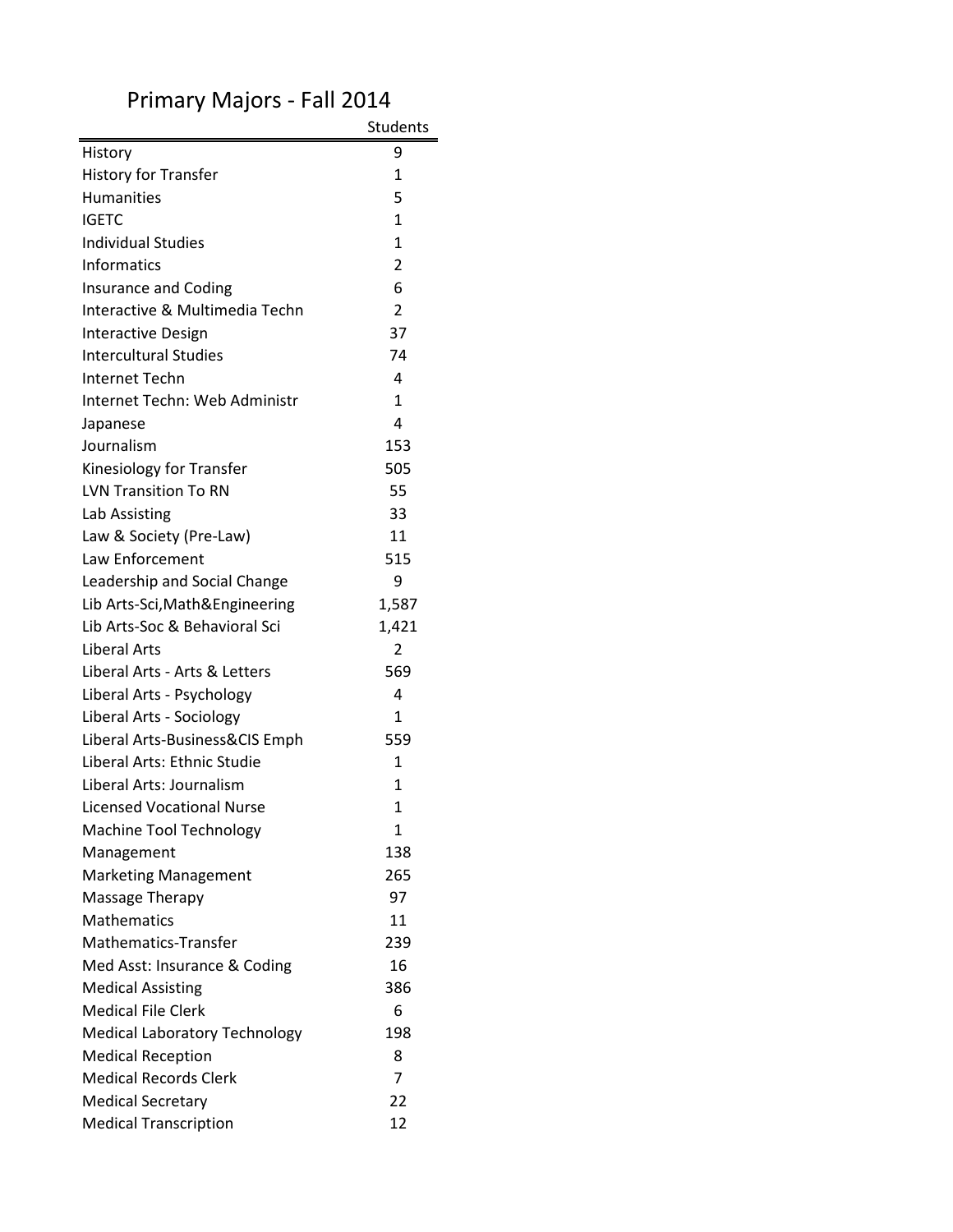|                                      | <b>Students</b> |
|--------------------------------------|-----------------|
| History                              | 9               |
| <b>History for Transfer</b>          | $\mathbf{1}$    |
| <b>Humanities</b>                    | 5               |
| <b>IGETC</b>                         | $\mathbf{1}$    |
| <b>Individual Studies</b>            | $\mathbf{1}$    |
| <b>Informatics</b>                   | $\overline{2}$  |
| <b>Insurance and Coding</b>          | 6               |
| Interactive & Multimedia Techn       | $\overline{2}$  |
| <b>Interactive Design</b>            | 37              |
| <b>Intercultural Studies</b>         | 74              |
| <b>Internet Techn</b>                | 4               |
| Internet Techn: Web Administr        | 1               |
| Japanese                             | 4               |
| Journalism                           | 153             |
| Kinesiology for Transfer             | 505             |
| <b>LVN Transition To RN</b>          | 55              |
| Lab Assisting                        | 33              |
| Law & Society (Pre-Law)              | 11              |
| Law Enforcement                      | 515             |
| Leadership and Social Change         | 9               |
| Lib Arts-Sci, Math & Engineering     | 1,587           |
| Lib Arts-Soc & Behavioral Sci        | 1,421           |
| Liberal Arts                         | 2               |
| Liberal Arts - Arts & Letters        | 569             |
| Liberal Arts - Psychology            | 4               |
| Liberal Arts - Sociology             | $\mathbf{1}$    |
| Liberal Arts-Business&CIS Emph       | 559             |
| Liberal Arts: Ethnic Studie          | $\mathbf{1}$    |
| Liberal Arts: Journalism             | 1               |
| <b>Licensed Vocational Nurse</b>     | 1               |
| Machine Tool Technology              | 1               |
| Management                           | 138             |
| <b>Marketing Management</b>          | 265             |
| Massage Therapy                      | 97              |
| <b>Mathematics</b>                   | 11              |
| Mathematics-Transfer                 | 239             |
| Med Asst: Insurance & Coding         | 16              |
| <b>Medical Assisting</b>             | 386             |
| <b>Medical File Clerk</b>            | 6               |
| <b>Medical Laboratory Technology</b> | 198             |
| <b>Medical Reception</b>             | 8               |
| <b>Medical Records Clerk</b>         | 7               |
| <b>Medical Secretary</b>             | 22              |
| <b>Medical Transcription</b>         | 12              |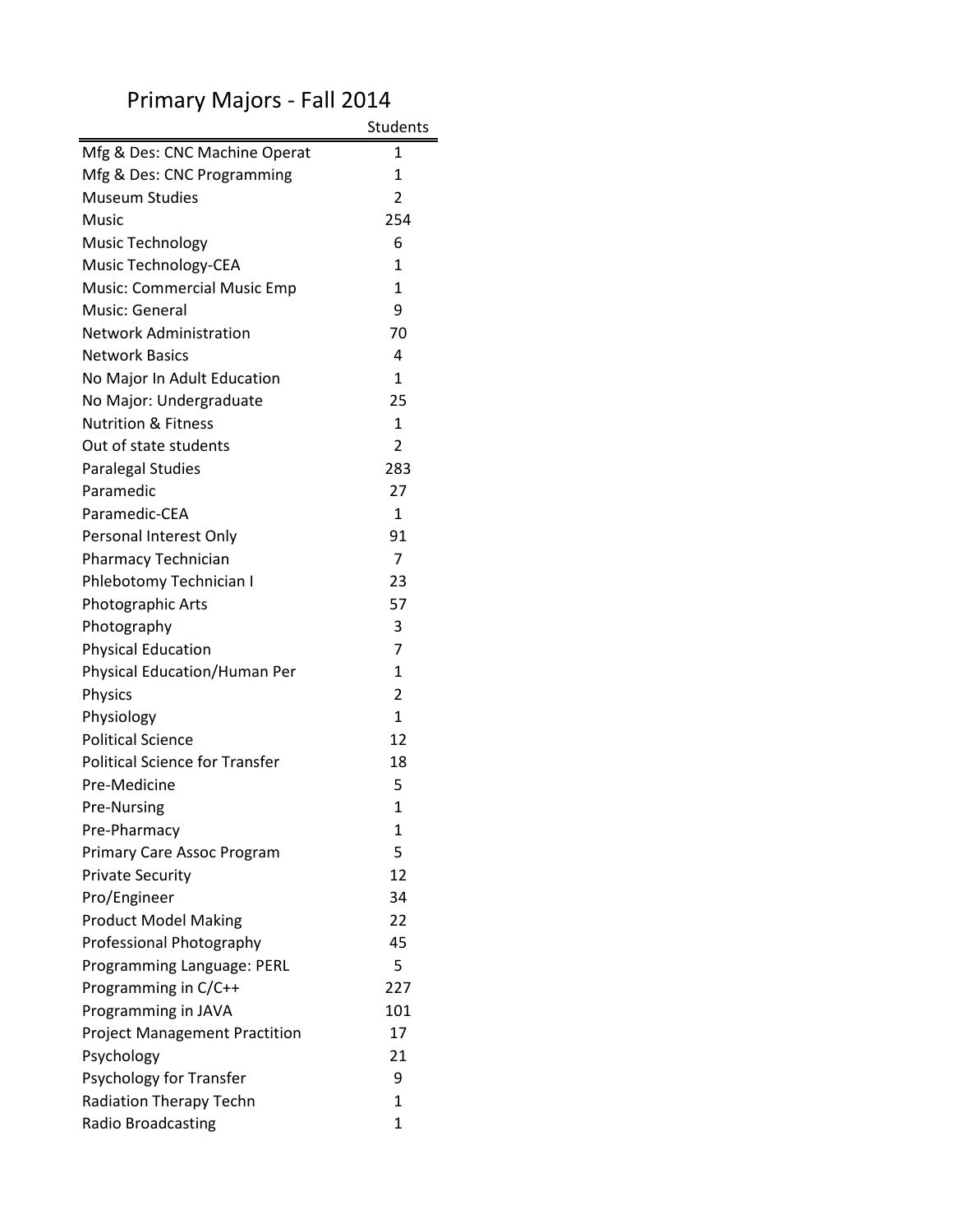|                                       | <b>Students</b> |
|---------------------------------------|-----------------|
| Mfg & Des: CNC Machine Operat         | 1               |
| Mfg & Des: CNC Programming            | 1               |
| <b>Museum Studies</b>                 | $\overline{2}$  |
| Music                                 | 254             |
| <b>Music Technology</b>               | 6               |
| Music Technology-CEA                  | $\mathbf{1}$    |
| <b>Music: Commercial Music Emp</b>    | $\mathbf{1}$    |
| Music: General                        | 9               |
| <b>Network Administration</b>         | 70              |
| <b>Network Basics</b>                 | 4               |
| No Major In Adult Education           | $\mathbf{1}$    |
| No Major: Undergraduate               | 25              |
| <b>Nutrition &amp; Fitness</b>        | $\mathbf{1}$    |
| Out of state students                 | $\overline{2}$  |
| <b>Paralegal Studies</b>              | 283             |
| Paramedic                             | 27              |
| Paramedic-CEA                         | $\mathbf{1}$    |
| Personal Interest Only                | 91              |
| Pharmacy Technician                   | 7               |
| Phlebotomy Technician I               | 23              |
| Photographic Arts                     | 57              |
| Photography                           | 3               |
| <b>Physical Education</b>             | $\overline{7}$  |
| Physical Education/Human Per          | $\mathbf{1}$    |
| Physics                               | $\overline{2}$  |
| Physiology                            | $\mathbf{1}$    |
| <b>Political Science</b>              | 12              |
| <b>Political Science for Transfer</b> | 18              |
| Pre-Medicine                          | 5               |
| Pre-Nursing                           | $\overline{1}$  |
| Pre-Pharmacy                          | 1               |
| Primary Care Assoc Program            | 5               |
| <b>Private Security</b>               | 12              |
| Pro/Engineer                          | 34              |
| <b>Product Model Making</b>           | 22              |
| Professional Photography              | 45              |
| Programming Language: PERL            | 5               |
| Programming in C/C++                  | 227             |
| Programming in JAVA                   | 101             |
| <b>Project Management Practition</b>  | 17              |
| Psychology                            | 21              |
| Psychology for Transfer               | 9               |
| Radiation Therapy Techn               | 1               |
| Radio Broadcasting                    | $\mathbf{1}$    |